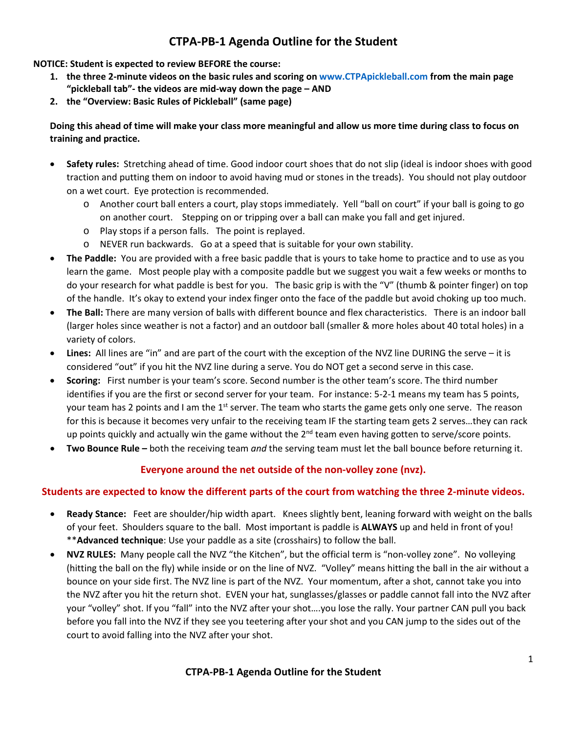# **CTPA-PB-1 Agenda Outline for the Student**

**NOTICE: Student is expected to review BEFORE the course:**

- **1. the three 2-minute videos on the basic rules and scoring on [www.CTPApickleball.com](http://www.ctpapickleball.com/) from the main page "pickleball tab"- the videos are mid-way down the page – AND**
- **2. the "Overview: Basic Rules of Pickleball" (same page)**

#### **Doing this ahead of time will make your class more meaningful and allow us more time during class to focus on training and practice.**

- **Safety rules:** Stretching ahead of time. Good indoor court shoes that do not slip (ideal is indoor shoes with good traction and putting them on indoor to avoid having mud or stones in the treads). You should not play outdoor on a wet court. Eye protection is recommended.
	- o Another court ball enters a court, play stops immediately. Yell "ball on court" if your ball is going to go on another court. Stepping on or tripping over a ball can make you fall and get injured.
	- o Play stops if a person falls. The point is replayed.
	- o NEVER run backwards. Go at a speed that is suitable for your own stability.
- **The Paddle:** You are provided with a free basic paddle that is yours to take home to practice and to use as you learn the game. Most people play with a composite paddle but we suggest you wait a few weeks or months to do your research for what paddle is best for you. The basic grip is with the "V" (thumb & pointer finger) on top of the handle. It's okay to extend your index finger onto the face of the paddle but avoid choking up too much.
- **The Ball:** There are many version of balls with different bounce and flex characteristics. There is an indoor ball (larger holes since weather is not a factor) and an outdoor ball (smaller & more holes about 40 total holes) in a variety of colors.
- **Lines:** All lines are "in" and are part of the court with the exception of the NVZ line DURING the serve it is considered "out" if you hit the NVZ line during a serve. You do NOT get a second serve in this case.
- **Scoring:** First number is your team's score. Second number is the other team's score. The third number identifies if you are the first or second server for your team. For instance: 5-2-1 means my team has 5 points, your team has 2 points and I am the  $1<sup>st</sup>$  server. The team who starts the game gets only one serve. The reason for this is because it becomes very unfair to the receiving team IF the starting team gets 2 serves…they can rack up points quickly and actually win the game without the 2<sup>nd</sup> team even having gotten to serve/score points.
- **Two Bounce Rule –** both the receiving team *and* the serving team must let the ball bounce before returning it.

## **Everyone around the net outside of the non-volley zone (nvz).**

### **Students are expected to know the different parts of the court from watching the three 2-minute videos.**

- **Ready Stance:** Feet are shoulder/hip width apart. Knees slightly bent, leaning forward with weight on the balls of your feet. Shoulders square to the ball. Most important is paddle is **ALWAYS** up and held in front of you! \*\***Advanced technique**: Use your paddle as a site (crosshairs) to follow the ball.
- **NVZ RULES:** Many people call the NVZ "the Kitchen", but the official term is "non-volley zone". No volleying (hitting the ball on the fly) while inside or on the line of NVZ. "Volley" means hitting the ball in the air without a bounce on your side first. The NVZ line is part of the NVZ. Your momentum, after a shot, cannot take you into the NVZ after you hit the return shot. EVEN your hat, sunglasses/glasses or paddle cannot fall into the NVZ after your "volley" shot. If you "fall" into the NVZ after your shot….you lose the rally. Your partner CAN pull you back before you fall into the NVZ if they see you teetering after your shot and you CAN jump to the sides out of the court to avoid falling into the NVZ after your shot.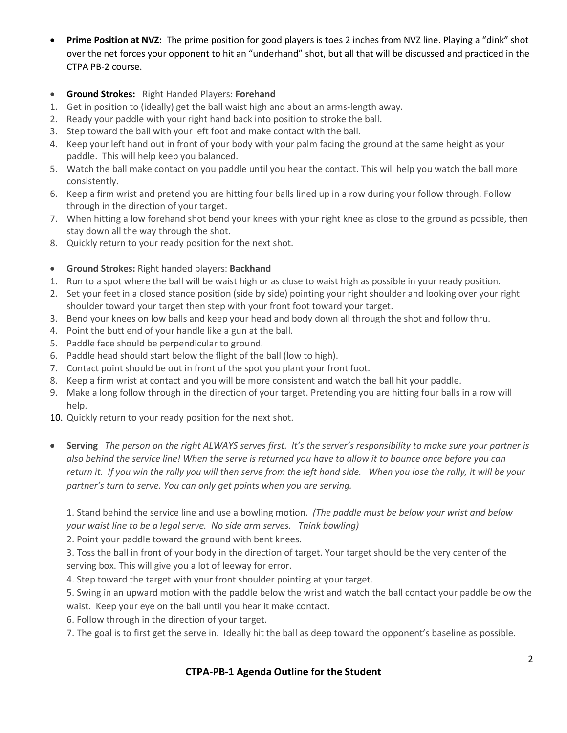- **Prime Position at NVZ:** The prime position for good players is toes 2 inches from NVZ line. Playing a "dink" shot over the net forces your opponent to hit an "underhand" shot, but all that will be discussed and practiced in the CTPA PB-2 course.
- **Ground Strokes:** Right Handed Players: **Forehand**
- 1. Get in position to (ideally) get the ball waist high and about an arms-length away.
- 2. Ready your paddle with your right hand back into position to stroke the ball.
- 3. Step toward the ball with your left foot and make contact with the ball.
- 4. Keep your left hand out in front of your body with your palm facing the ground at the same height as your paddle. This will help keep you balanced.
- 5. Watch the ball make contact on you paddle until you hear the contact. This will help you watch the ball more consistently.
- 6. Keep a firm wrist and pretend you are hitting four balls lined up in a row during your follow through. Follow through in the direction of your target.
- 7. When hitting a low forehand shot bend your knees with your right knee as close to the ground as possible, then stay down all the way through the shot.
- 8. Quickly return to your ready position for the next shot.
- **Ground Strokes:** Right handed players: **Backhand**
- 1. Run to a spot where the ball will be waist high or as close to waist high as possible in your ready position.
- 2. Set your feet in a closed stance position (side by side) pointing your right shoulder and looking over your right shoulder toward your target then step with your front foot toward your target.
- 3. Bend your knees on low balls and keep your head and body down all through the shot and follow thru.
- 4. Point the butt end of your handle like a gun at the ball.
- 5. Paddle face should be perpendicular to ground.
- 6. Paddle head should start below the flight of the ball (low to high).
- 7. Contact point should be out in front of the spot you plant your front foot.
- 8. Keep a firm wrist at contact and you will be more consistent and watch the ball hit your paddle.
- 9. Make a long follow through in the direction of your target. Pretending you are hitting four balls in a row will help.
- 10. Quickly return to your ready position for the next shot.
- **Serving** *The person on the right ALWAYS serves first. It's the server's responsibility to make sure your partner is also behind the service line! When the serve is returned you have to allow it to bounce once before you can return it. If you win the rally you will then serve from the left hand side. When you lose the rally, it will be your partner's turn to serve. You can only get points when you are serving.*

1. Stand behind the service line and use a bowling motion. *(The paddle must be below your wrist and below your waist line to be a legal serve. No side arm serves. Think bowling)*

2. Point your paddle toward the ground with bent knees.

3. Toss the ball in front of your body in the direction of target. Your target should be the very center of the serving box. This will give you a lot of leeway for error.

4. Step toward the target with your front shoulder pointing at your target.

5. Swing in an upward motion with the paddle below the wrist and watch the ball contact your paddle below the waist. Keep your eye on the ball until you hear it make contact.

6. Follow through in the direction of your target.

7. The goal is to first get the serve in. Ideally hit the ball as deep toward the opponent's baseline as possible.

### **CTPA-PB-1 Agenda Outline for the Student**